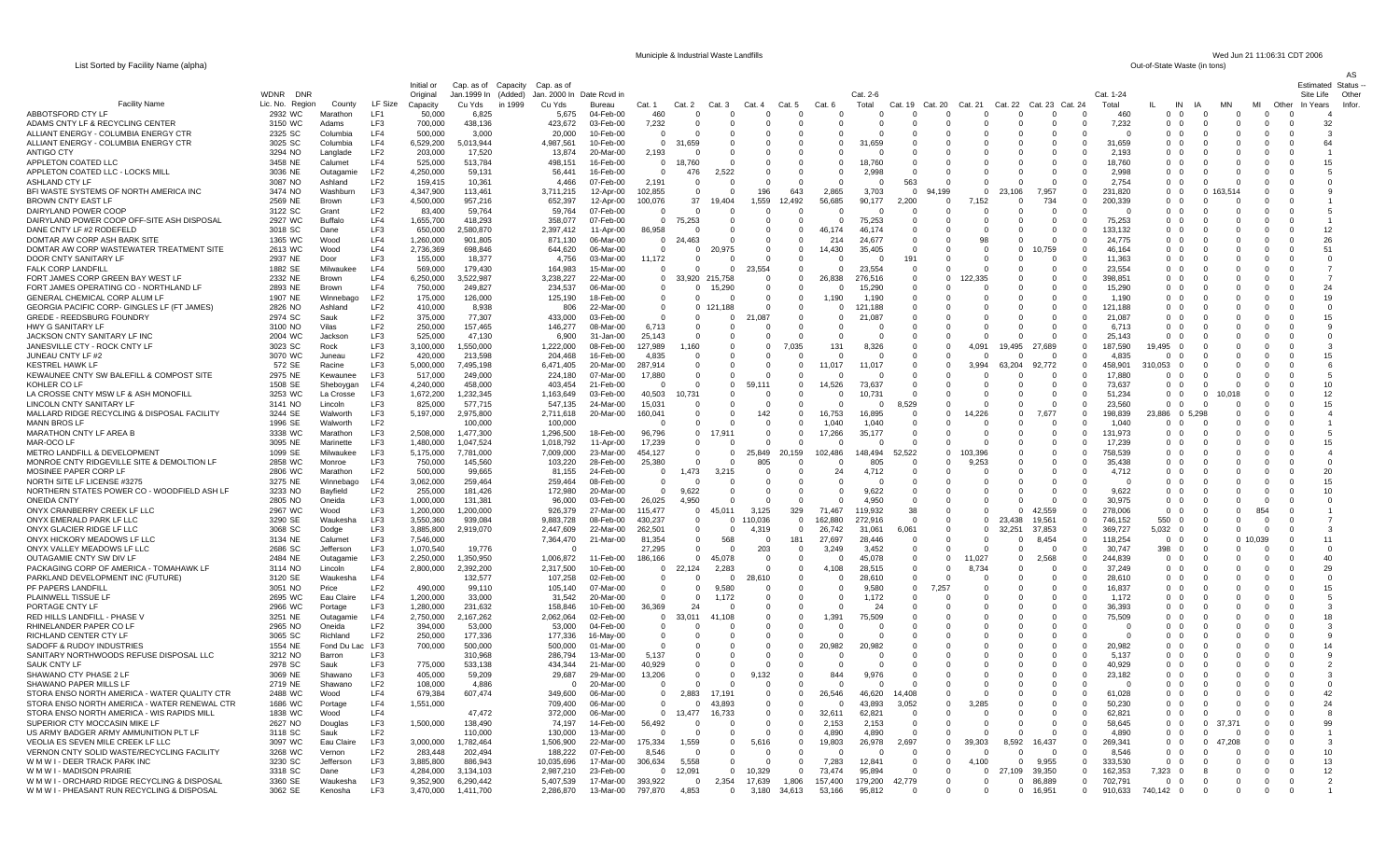List Sorted by Facility Name (alpha)

STORA ENSO NORTH AMERICA - WATER RENEWAL CTR

1838 WC

2627 NO

3118 SC<br>3097 WC

3268 WC

3318 SC

3360 SE

3062 SE

STORA ENSO NORTH AMERICA - WIS RAPIDS MILL

VERNON CNTY SOLID WASTE/RECYCLING FACILITY

W M W I - ORCHARD RIDGE RECYCLING & DISPOSAL

W M W I - PHEASANT RUN RECYCLING & DISPOSAL

US ARMY BADGER ARMY AMMUNITION PLT LF

SUPERIOR CTY MOCCASIN MIKE LF

W M W I - DEER TRACK PARK INC

W M W I - MADISON PRAIRIE

VEOLIA ES SEVEN MILE CREEK LF LLC

|                                                    |                           |                     |                                    |                        |                        |                    |                        |                         |                |                      |                        |               |                         |                   |                      |                     |                           |                                                             |                 |                          |                         |          |                      |                  | AS    |
|----------------------------------------------------|---------------------------|---------------------|------------------------------------|------------------------|------------------------|--------------------|------------------------|-------------------------|----------------|----------------------|------------------------|---------------|-------------------------|-------------------|----------------------|---------------------|---------------------------|-------------------------------------------------------------|-----------------|--------------------------|-------------------------|----------|----------------------|------------------|-------|
|                                                    |                           |                     |                                    | Initial or             | Cap. as of Capacity    | Cap. as of         |                        |                         |                |                      |                        |               |                         |                   |                      |                     |                           |                                                             |                 |                          |                         |          |                      | Estimated Status |       |
|                                                    | <b>WDNR</b><br><b>DNR</b> |                     |                                    | Original               | Jan.1999 In<br>(Added) | Jan. 2000 In       | Date Rcvd in           |                         |                |                      |                        |               |                         | Cat. 2-6          |                      |                     |                           |                                                             | Cat. 1-24       |                          |                         |          |                      | Site Life        | Other |
| <b>Facility Name</b>                               | Lic. No. Region           | County              | LF Size                            | Capacity               | Cu Yds<br>in 1999      | Cu Yds             | Bureau                 | Cat. 1                  | Cat. 2         | Cat. 3               | Cat. 4                 | Cat. 5        | Cat. 6                  | Total             | Cat. 20<br>Cat.      | Cat. 21             | Cat. 22                   | Cat. 23<br>Cat. 24                                          | Total           | IN                       | <b>MN</b><br>IA         | MI       | Other                | In Years         | Infor |
| ABBOTSFORD CTY LF                                  | 2932 WC                   | Marathon            | LF1                                | 50,000                 | 6,825                  | 5,675              | 04-Feb-00              | 460                     |                | $\Omega$             | $\Omega$               | $\Omega$      | $\Omega$                | $\Omega$          | $\Omega$             |                     | $\Omega$                  | $\Omega$<br>$\Omega$                                        | 460             | 0<br>- 0                 | $\Omega$                |          |                      |                  |       |
| ADAMS CNTY LF & RECYCLING CENTER                   | 3150 WC                   | Adams               | LF3                                | 700,000                | 438,136                | 423,672            | 03-Feb-00              | 7,232                   |                | 0                    | $\Omega$               | -0            | 0                       |                   | $\mathbf 0$          |                     | $\Omega$                  | -0<br>$\Omega$                                              | 7,232           | $0\quad 0$               | $\mathbf 0$             |          | - 0                  | 32               |       |
| ALLIANT ENERGY - COLUMBIA ENERGY CTR               | 2325 SC                   | Columbia            | LF4                                | 500,000                | 3,000                  | 20,000             | 10-Feb-00              | $\Omega$                |                | 0                    | $\Omega$               | 0             | $\Omega$                | O                 | $\Omega$             | $^{\circ}$          | 0                         | $\mathbf 0$<br>$\Omega$<br>$\Omega$                         |                 | $0\quad 0$               | $\Omega$                |          | $\Omega$<br>- 0      | -3               |       |
| ALLIANT ENERGY - COLUMBIA ENERGY CTR               | 3025 SC                   | Columbia            | LF4                                | 6,529,200              | 5,013,944              | 4,987,561          | 10-Feb-00              | $\overline{0}$          | 31,659         | $\Omega$             | $\Omega$               | $\Omega$      | $\Omega$                | .659              | $\Omega$             | 0                   | $\Omega$                  | $\Omega$<br>$\mathbf 0$<br>$\Omega$                         | 31,659          | $0\quad 0$               | $\Omega$                |          | $\Omega$<br>- 0      | 64               |       |
| ANTIGO CTY                                         | 3294 NO                   | Langlade            | LF <sub>2</sub>                    | 203,000                | 17,520                 | 13,874             | 20-Mar-00              | 2,193                   |                | $\Omega$             | $\Omega$               | - 0           | n                       | $\Omega$          | $\Omega$             |                     | n<br>$\Omega$             | $\Omega$<br>$\Omega$                                        | 2,193           | 0 0                      | $\Omega$                |          | n                    |                  |       |
| APPLETON COATED LLC                                | 3458 NE                   | Calumet             | LF4                                | 525,000                | 513,784                | 498,151            | 16-Feb-00              | $\overline{0}$          | 18,760         | n                    | $\Omega$               | 0             | $\Omega$                | 18,760            | $\Omega$             |                     | 0                         | $\Omega$<br>$\Omega$                                        | 18.760          | 0 <sub>0</sub>           | $\Omega$                |          | $\Omega$             |                  |       |
| APPLETON COATED LLC - LOCKS MILL<br>ASHLAND CTY LF | 3036 NE                   | Outagam             | LF <sub>2</sub><br>LF <sub>2</sub> | 4,250,000              | 59,131                 | 56,441             | 16-Feb-00              | $\overline{\mathbf{0}}$ | 476            | 2,522<br>n           | $^{\circ}$<br>$\Omega$ | - 0<br>- 0    | $\mathbf 0$<br>$\Omega$ | 2,998<br>$\Omega$ | $\mathbf{0}$<br>563  | $\Omega$            | 0<br>$\Omega$<br>$\Omega$ | $\overline{\mathbf{0}}$<br>$\Omega$<br>$\Omega$<br>$\Omega$ | 2,998<br>2,754  | $0\quad 0$<br>0 0        | $\mathbf 0$<br>$\Omega$ |          | $\Omega$             |                  |       |
| BFI WASTE SYSTEMS OF NORTH AMERICA INC             | 3087 NO<br>3474 NO        | Ashland<br>Washburr | LF3                                | 159,415<br>4,347,900   | 10,361<br>113,461      | 4,466<br>3,711,215 | 07-Feb-00<br>12-Apr-00 | 2,191<br>102,855        |                | $\Omega$             | 196                    | 643           | 2,865                   | 3,703             | $\Omega$<br>94,199   |                     | $\Omega$<br>23,106        | 7,957<br>$\Omega$                                           | 231,820         | $0\quad 0$               | $\Omega$<br>163.514     |          | 0                    |                  |       |
| BROWN CNTY EAST LF                                 | 2569 NE                   | <b>Brown</b>        | LF3                                | 4,500,000              | 957,216                | 652,397            |                        | 100,076                 | 37             | 19,404               | 1,559                  | 12,492        | 56,685                  | 90,177            | 2,200                | 152<br>$\Omega$     |                           | $\Omega$                                                    | 200,339         | $0\quad 0$               | - 0                     |          | 0                    |                  |       |
| DAIRYLAND POWER COOP                               | 3122 SC                   | Grant               | LF <sub>2</sub>                    | 83,400                 | 59,764                 | 59,764             | 12-Apr-00<br>07-Feb-00 | $\Omega$                |                | - 0                  | $\Omega$               | $\Omega$      | $\Omega$                |                   | $\Omega$             |                     | $\Omega$<br>$\Omega$      | 734<br>$\Omega$<br><sup>n</sup>                             |                 | $0\quad 0$               | $\Omega$                |          | $\Omega$             |                  |       |
| DAIRYLAND POWER COOP OFF-SITE ASH DISPOSAL         | 2927 WC                   | Buffalo             | LF4                                | 1,655,700              | 418,293                | 358,077            | 07-Feb-00              | $\mathbf{0}$            | 75,253         | 0                    | $\Omega$               | $\Omega$      | $\Omega$                | 75,253            | $\Omega$             |                     | $\Omega$                  | -0<br>$\Omega$                                              | 75,253          | $0\quad 0$               | $\Omega$                |          | $\Omega$             |                  |       |
| DANE CNTY LF #2 RODEFELD                           | 3018 SC                   | Dane                | LF3                                | 650,000                | 2,580,870              | 2,397,412          | 11-Apr-00              | 86,958                  |                | 0                    | $\Omega$               | $\Omega$      | 46.174                  | 46.174            | $^{\circ}$           |                     | 0                         | - 0<br>$\Omega$                                             | 133,132         | $0\quad 0$               | -0                      |          |                      | 12               |       |
| DOMTAR AW CORP ASH BARK SITE                       | 1365 WC                   | Wood                | LF4                                | 1,260,000              | 901.805                | 871,130            | 06-Mar-00              | $\overline{0}$          | 24,463         |                      | $\Omega$               | $\Omega$      | 214                     | 24,677            | $\Omega$             | 98                  |                           | $\Omega$<br>$\Omega$                                        | 24,775          | 0 0                      | - 0                     |          |                      | 26               |       |
| DOMTAR AW CORP WASTEWATER TREATMENT SITE           | 2613 WC                   | Wood                | LF4                                | 2,736,369              | 698,846                | 644,620            | 06-Mar-00              | $\Omega$                |                | 20,975               |                        | $\Omega$      | 14,430                  | 35,405            | $\Omega$             |                     |                           | 10,759                                                      | 46.164          | 0 0                      |                         |          |                      | 51               |       |
| DOOR CNTY SANITARY LF                              | 2937 NE                   | Door                | LF3                                | 155,000                | 18,377                 | 4,756              | 03-Mar-00              | 11,172                  |                | - 0                  | 0                      | - 0           | 0                       | $\Omega$          | 191                  | <sup>0</sup>        | 0                         | - 0<br><sup>0</sup>                                         | 11,363          | $0\quad 0$               | -0                      |          |                      |                  |       |
| <b>FALK CORP LANDFILL</b>                          | 1882 SE                   | Milwaukee           | LF4                                | 569,000                | 179,430                | 164.983            | 15-Mar-00              | $\Omega$                |                | $\Omega$             | 23,554                 | $\Omega$      | $\Omega$                | 23.554            | $\Omega$             |                     |                           | $\Omega$                                                    | 23.554          | $0\quad 0$               | $\Omega$                |          | U                    |                  |       |
| FORT JAMES CORP GREEN BAY WEST LF                  | 2332 NE                   | Brown               | LF4                                | 6,250,000              | 3,522,987              | 3,238,227          | 22-Mar-00              | $^{\circ}$              |                | 33,920 215,758       | $\Omega$               | $\Omega$      | 26,838                  | 276,516           | $\Omega$             | $\Omega$<br>122.335 |                           | $\Omega$<br>0                                               | 398,851         | $0\quad 0$               |                         |          |                      |                  |       |
| FORT JAMES OPERATING CO - NORTHLAND LF             | 2893 NE                   | <b>Brown</b>        | LF4                                | 750,000                | 249,827                | 234,537            | 06-Mar-00              | $\overline{\mathbf{0}}$ |                | 15,290               | $\mathbf 0$            | - 0           | 0                       | 15,290            | $\Omega$             | <sup>0</sup>        |                           | $\Omega$<br><sup>0</sup><br><sup>0</sup>                    | 15,290          | 0 0                      | $\Omega$                |          |                      | 24               |       |
| GENERAL CHEMICAL CORP ALUM LF                      | 1907 NE                   | Winnebag            | LF <sub>2</sub>                    | 175,000                | 126,000                | 125,190            | 18-Feb-00              | $\Omega$                | $\Omega$       | $\Omega$             | $\Omega$               | $\Omega$      | 1.190                   | 1.190             | $\Omega$             |                     | $\Omega$                  | $\Omega$                                                    | 1.190           | $0\quad 0$               | $\Omega$                |          |                      | 19               |       |
| GEORGIA PACIFIC CORP- GINGLES LF (FT JAMES)        | 2826 NO                   | Ashland             | LF <sub>2</sub>                    | 410,000                | 8,938                  | 806                | 22-Mar-00              | $\Omega$                | $\Omega$       | 121,188              |                        | $\Omega$      | $\Omega$                | 121,188           | $\Omega$             |                     |                           | $\Omega$                                                    | 121,188         | 0 0                      |                         |          |                      |                  |       |
| <b>GREDE - REEDSBURG FOUNDRY</b>                   | 2974 SC                   | Sauk                | LF <sub>2</sub>                    | 375,000                | 77,307                 | 433,000            | 03-Feb-00              | $\Omega$                |                | $\Omega$             | 21,087                 | $\Omega$      | $\Omega$                | ,087<br>-21       | -0                   |                     | n                         | $\Omega$<br>$\Omega$<br><sup>0</sup>                        | 21.087          | $0\quad 0$               | $\Omega$                |          |                      | 15               |       |
| HWY G SANITARY LF                                  | 3100 NO                   | Vilas               | LF <sub>2</sub>                    | 250,000                | 157,465                | 146,277            | 08-Mar-00              | 6,713                   |                |                      | $\Omega$               | $\Omega$      | $\Omega$                |                   | $\Omega$             |                     | $\Omega$                  | $\Omega$                                                    | 6.713           | 0 0                      | $\Omega$                |          |                      |                  |       |
| JACKSON CNTY SANITARY LF INC                       | 2004 WC                   | Jackson             | LF3                                | 525,000                | 47,130                 | 6,900              | 31-Jan-00              | 25,143                  |                | n                    |                        | -C            | $\Omega$                |                   | $\Omega$             |                     | $\Omega$                  | $\Omega$<br>$\Omega$                                        | 25,143          | 0 0                      | $\Omega$                |          |                      |                  |       |
| JANESVILLE CTY - ROCK CNTY LF                      | 3023 SC                   | Rock                | LF3                                | 3,100,000              | 1.550.000              | 1,222,000          | 08-Feb-00              | 127,989                 | 1,160          | n                    | $\Omega$               | 7.035         | 131                     | 8,326             | $\Omega$             | 4.091               | 19,495                    | 27,689<br>$\Omega$                                          | 187.590         | 19,495 0                 |                         |          |                      |                  |       |
| JUNEAU CNTY LF #2                                  | 3070 WC                   | Juneau              | LF <sub>2</sub>                    | 420,000                | 213,598                | 204,468            | 16-Feb-00              | 4,835                   |                | $\Omega$             | $\Omega$               | -C            | $\Omega$                |                   | $\Omega$             | $\Omega$            |                           | $\Omega$<br>$\Omega$                                        | 4.835           | $\Omega$<br>- 0          |                         |          |                      |                  |       |
| <b>KESTREL HAWK LF</b>                             | 572 SE                    | Racine              | LF3                                | 5,000,000              | 7,495,198              | 6,471,405          | 20-Mar-00              | 287,914                 |                |                      |                        | $\Omega$      | 11.017                  | 11.017            | $\Omega$             | 3.994               | 63,204                    | 92,772<br>$\Omega$                                          | 458,901         | 310,053<br>$\Omega$      |                         |          |                      |                  |       |
| KEWAUNEE CNTY SW BALEFILL & COMPOST SITE           | 2975 NE                   | Kewaunee            | LF3                                | 517,000                | 249,000                | 224,180            | 07-Mar-00              | 17,880                  |                | $\Omega$             | $\Omega$               | $\Omega$      |                         |                   | $\Omega$             |                     | n                         | $\Omega$<br>$\Omega$                                        | 17,880          | $0\quad 0$               | $\Omega$                |          |                      | 5                |       |
| KOHLER CO LF                                       | 1508 SE                   | Sheboygar           | LF4                                | 4,240,000              | 458,000                | 403,454            | 21-Feb-00              | $\Omega$                |                | $\Omega$             | 59                     | $\Omega$      | 14.526                  | 73,637            | $\Omega$             |                     | $\Omega$                  | $\Omega$<br>$\Omega$<br>$\Omega$                            | 73,637          | $0\quad 0$               | $\Omega$                |          | 0                    | 10               |       |
| LA CROSSE CNTY MSW LF & ASH MONOFILI               | 3253 WC                   | La Crosse           | LF3                                | 1,672,200              | 1,232,345              | 1,163,649          | 03-Feb-00              | 40,503                  | 10.731         |                      | $\Omega$               | $\Omega$      | $\Omega$                | 10,731            | $\Omega$             | <sup>n</sup>        | $\Omega$<br>$\Omega$      | $\Omega$<br>$\Omega$                                        | 51,234          | 0 <sub>0</sub>           | $\Omega$<br>10,018      |          | $\Omega$             | 12               |       |
| LINCOLN CNTY SANITARY LF                           | 3141 NO                   | Lincoln             | LF3                                | 825,000                | 577.715                | 547,135            | 24-Mar-00              | 15.031                  |                | $\Omega$             | $\Omega$               | $\Omega$      | $\Omega$                | O                 | 8,529                |                     | $\Omega$                  | $\Omega$<br>$\Omega$                                        | 23.560          | $0\quad 0$               | $\Omega$                |          |                      |                  |       |
| MALLARD RIDGE RECYCLING & DISPOSAL FACILITY        | 3244 SE                   | Walworth            | LF3                                | 5,197,000              | 2,975,800              | 2,711,618          | 20-Mar-00              | 160,041                 |                | - 0                  | 142                    | $\Omega$      | 16,753                  | 16,895            | $\Omega$             | $\Omega$<br>1.226   | $\Omega$                  | 7.677<br>$\overline{0}$                                     | 198,839         | 23,886 0                 | 5,298                   |          | 0                    |                  |       |
| <b>MANN BROS LF</b>                                | 1996 SE                   | Walworth            | LF <sub>2</sub>                    |                        | 100,000                | 100,000            |                        | $\Omega$                |                | n                    | $\Omega$               | $\Omega$      | 1,040                   | 1.040             | $\Omega$             |                     |                           | $\Omega$<br>$\Omega$                                        | 1.040           | 0 O                      | - 0                     |          |                      |                  |       |
| <b>MARATHON CNTY LF AREA B</b>                     | 3338 WC                   | Marathon            | LF3                                | 2,508,000              | 1,477,300              | 1,296,500          | 18-Feb-00              | 96,796                  |                |                      | $\Omega$               | $\Omega$      | 17,266                  | 35.177            | $\Omega$             |                     |                           | $\Omega$<br>$\Omega$                                        | 131.973         | 0 0                      | $\Omega$                |          |                      |                  |       |
| MAR-OCO LF                                         | 3095 NE                   | Marinette           | LF3                                | 1,480,000              | 1,047,524              | 1,018,792          | 11-Apr-00              | 17,239                  |                | 0                    | $\Omega$               | $\Omega$      | $\Omega$                | $\Omega$          | $\Omega$             | $\Omega$            | $\Omega$                  | $\Omega$<br>$\Omega$<br><sup>0</sup>                        | 17,239          | $0\quad 0$               | $\Omega$                |          |                      |                  |       |
| METRO LANDFILL & DEVELOPMENT                       | 1099 SE                   | Milwaukee           | LF3                                | 5,175,000              | 7,781,000              | 7,009,000          | 23-Mar-00              | 454.127                 |                | $\Omega$             | 25,849                 | 20,159        | 102.486                 | 148.494           | 52,522               | $\Omega$<br>103,396 |                           | $\Omega$<br>$\Omega$                                        | 758,539         | 0 O                      |                         |          |                      |                  |       |
| MONROE CNTY RIDGEVILLE SITE & DEMOLTION LF         | 2858 WC                   | Monroe              | LF3                                | 750,000                | 145,560                | 103,220            | 28-Feb-00              | 25,380                  |                |                      | 805                    |               |                         | 805               | $\Omega$             | 9.253               |                           | $\Omega$                                                    | 35,438          | 0 0                      |                         |          |                      |                  |       |
| MOSINEE PAPER CORP LF                              | 2806 WC                   | Marathon            | LF <sub>2</sub>                    | 500,000                | 99,665                 | 81,155             | 24-Feb-00              | $\overline{0}$          | 1,473          | 3,215                | $\Omega$               | $\Omega$      | 24                      | 4,712             | $\Omega$             | <sup>n</sup>        |                           | $\Omega$<br><sup>n</sup><br><sup>0</sup>                    | 4,712           | 0 0                      | $\Omega$                |          |                      | 20               |       |
| NORTH SITE LF LICENSE #3275                        | 3275 NE                   | Winnebag            | LF4                                | 3,062,000              | 259.464                | 259,464            | 08-Feb-00              | $\Omega$                |                | $\Omega$             | $\Omega$               | C             | $\Omega$                |                   | $\Omega$             |                     |                           | $\Omega$                                                    |                 | $0\quad 0$               |                         |          |                      | 15               |       |
| NORTHERN STATES POWER CO - WOODFIELD ASH LF        | 3233 NO<br>2805 NO        | Bayfield            | LF <sub>2</sub><br>LF3             | 255,000                | 181.426<br>131,381     | 172,980            | 20-Mar-00<br>03-Feb-00 | $\Omega$<br>26,025      | 9.622<br>4,950 | $\Omega$<br>$\Omega$ |                        | ſ<br>$\Omega$ | $\Omega$<br>$\Omega$    | 9.622<br>4,950    | $\Omega$<br>$\Omega$ |                     | $\Omega$                  | $\Omega$<br>$\Omega$<br>$\Omega$<br><sup>0</sup>            | 9.622<br>30,975 | $0\quad 0$<br>$0\quad 0$ | $\Omega$                |          |                      |                  |       |
| <b>ONEIDA CNTY</b><br>ONYX CRANBERRY CREEK LF LLC  | 2967 WC                   | Oneida<br>Wood      | LF3                                | 1,000,000<br>1,200,000 | 1.200.000              | 96,000<br>926.379  | 27-Mar-00              | 115.477                 |                | 45.011               | 3.125                  | 329           |                         | 119.932           | 38                   |                     | $\Omega$                  | 42.559<br>$\Omega$<br>$\Omega$                              | 278,006         | $\Omega$<br>$\Omega$     |                         | 854      |                      |                  |       |
| ONYX EMERALD PARK LF LLC                           | 3290 SE                   | Waukesha            | LF3                                | 3,550,360              | 939.084                | 9,883,728          | 08-Feb-00              | 430.237                 |                | $\Omega$             | 110.036                | $\Omega$      | 162.880                 | 272.916           | $\Omega$             |                     | $\Omega$<br>23.438        | 19.561<br>$\Omega$                                          | 746.152         | 550<br>- 0               |                         |          |                      |                  |       |
| ONYX GLACIER RIDGE LF LLC                          | 3068 SC                   | Dodge               | LF3                                | 3,885,800              | 2,919,070              | 2.447.609          | 22-Mar-00              | 262,501                 | <u>n</u>       | $\Omega$             | 4,319                  | $\Omega$      | 26,742                  | 31,061            | 6,061                | <sup>0</sup>        | 32,251<br>$\Omega$        | 37,853<br>$\Omega$                                          | 369,727         | 5,032 0                  |                         |          | $\Omega$<br>- 0      |                  |       |
| ONYX HICKORY MEADOWS LF LLC                        | 3134 NE                   | Calumet             | LF3                                | 7.546.000              |                        | 7,364,470          | 21-Mar-00              | 81.354                  | $\Omega$       | 568                  | $\Omega$               | 181           | 27.697                  | 28.446            | $\Omega$             | $\Omega$            | $\Omega$<br>$\Omega$      | 8.454<br>$\Omega$                                           | 118.254         | $0\quad 0$               | $\Omega$                | 10 039   | $\Omega$             | 11               |       |
| ONYX VALLEY MEADOWS LF LLC                         | 2686 SC                   | Jefferson           | LF3                                | 1,070,540              | 19,776                 | $\cap$             |                        | 27,295                  |                | $\cap$               | 203                    | $\Omega$      | 3.249                   | 3,452             | $\Omega$             |                     | $\Omega$                  | $\Omega$<br>$\Omega$                                        | 30,747          | 398<br>- 0               | $\Omega$                |          | - 0                  |                  |       |
| <b>OUTAGAMIE CNTY SW DIV LF</b>                    | 2484 NE                   | Outagamie           | LF3                                | 2,250,000              | 1.350.950              | 1,006,872          | 11-Feb-00              | 186,166                 | $\Omega$       | 45.078               | $\Omega$               | $\Omega$      | $\Omega$                | 45.078            | $\Omega$             | $\Omega$<br>רכם ו   |                           | 2,568<br>$\Omega$<br>$\Omega$                               | 244.839         | $0\quad 0$               | $\Omega$                |          | <sup>0</sup><br>- 0  | 40               |       |
| PACKAGING CORP OF AMERICA - TOMAHAWK LF            | 3114 NO                   | Lincoln             | LF4                                | 2,800,000              | 2,392,200              | 2,317,500          | 10-Feb-00              | $\Omega$                | 22<br>124      | 2.283                | $\Omega$               | $\Omega$      | 108                     | 28.515            | $\Omega$             |                     | $\Omega$                  | $\Omega$<br>$\Omega$                                        | 37.249          | $0\quad 0$               | $\Omega$                |          | 0                    | 29               |       |
| PARKLAND DEVELOPMENT INC (FUTURE)                  | 3120 SE                   | Waukesha            | LF4                                |                        | 132,577                | 107,258            | 02-Feb-00              | $\Omega$                |                | $\Omega$             | 28,610                 | $\Omega$      | $\Omega$                | 28,610            | $\Omega$             |                     | n<br>$\Omega$             | $\Omega$<br>$\Omega$                                        | 28,610          | $0\quad 0$               | $\Omega$                |          | $\Omega$             |                  |       |
| PF PAPERS LANDFILL                                 | 3051 NO                   | Price               | LF <sub>2</sub>                    | 490,000                | 99.110                 | 105,140            | 07-Mar-00              | $\Omega$                | $\Omega$       | 9.580                | $\Omega$               | $\Omega$      | $\Omega$                | 9.580             | $\Omega$<br>7.257    |                     | $\Omega$                  | $\Omega$<br>$\Omega$                                        | 16.837          | $0\quad 0$               | $\Omega$                |          | U                    |                  |       |
| PLAINWELL TISSUE LF                                | 2695 WC                   | Eau Claire          | LF4                                | 1,200,000              | 33,000                 | 31,542             | 20-Mar-00              | $\Omega$                | $\Omega$       | 1.172                | $\Omega$               | $\Omega$      | $\Omega$                | 1.172             | $\Omega$             |                     | $\Omega$                  | $\Omega$<br>$\Omega$                                        | 1.172           | $0\quad 0$               | $\Omega$                |          | 0                    |                  |       |
| PORTAGE CNTY LF                                    | 2966 WC                   | Portage             | LF3                                | 1,280,000              | 231,632                | 158,846            | 10-Feb-00              | 36,369                  | 24             |                      | $\Omega$               | -C            |                         | 24                | $\Omega$             |                     |                           | $\Omega$<br><sup>n</sup>                                    | 36,393          | $0\quad 0$               | $\cap$                  |          |                      |                  |       |
| RED HILLS LANDFILL - PHASE                         | 3251 NE                   | Outagamie           | LF4                                | 2,750,000              | 2.167.262              | 2.062.064          | 02-Feb-00              | $\Omega$                | 33.011         | 41.108               | $\Omega$               | $\Omega$      | 391                     | 75.509            | $\Omega$             |                     | $\Omega$                  | $\Omega$<br>$\Omega$                                        | 75.509          | $0\quad 0$               | $\Omega$                |          | U<br>- 0             | 18               |       |
| RHINELANDER PAPER CO LF                            | 2965 NO                   | Oneida              | LF <sub>2</sub>                    | 394,000                | 53,000                 | 53,000             | 04-Feb-00              | $\Omega$                |                |                      | $\Omega$               | -C            |                         |                   | $\Omega$             |                     | $\Omega$                  | $\Omega$                                                    |                 | $0\quad 0$               | $\Omega$                |          |                      |                  |       |
| RICHLAND CENTER CTY LF                             | 3065 SC                   | Richland            | LF <sub>2</sub>                    | 250,000                | 177,336                | 177,336            | 16-May-00              | $\Omega$                |                | $\Omega$             | $\Omega$               | $\Omega$      | $\Omega$                |                   | $\Omega$             |                     | n                         | $\Omega$<br>$\Omega$                                        |                 | 0 O                      | $\Omega$                |          | n                    |                  |       |
| SADOFF & RUDOY INDUSTRIES                          | 1554 NE                   | Fond Du             | LF3                                | 700,000                | 500,000                | 500.000            | 01-Mar-00              |                         |                |                      |                        | ſ             | 20.982                  | 20,982            | $\Omega$             |                     |                           | $\Omega$<br>n                                               | 20.982          | 0 O                      | $\Omega$                |          |                      |                  |       |
| SANITARY NORTHWOODS REFUSE DISPOSAL LLC            | 3212 NO                   | Barron              | LF3                                |                        | 310,968                | 286,794            | 13-Mar-00              | 5,137                   |                | $\Omega$             | $\Omega$               | $\Omega$      | n                       |                   | $\Omega$             |                     |                           | $\Omega$<br>$\Omega$                                        | 5.137           | 0 0                      | $\Omega$                |          |                      |                  |       |
| <b>SAUK CNTY LF</b>                                | 2978 SC                   | Sauk                | LF3                                | 775,000                | 533,138                | 434.344            | 21-Mar-00              | 40,929                  |                |                      |                        | -C            |                         |                   | $\Omega$             |                     |                           | $\Omega$<br>$\Omega$                                        | 40,929          | 0 O                      |                         |          |                      |                  |       |
| SHAWANO CTY PHASE 2 LI                             | 3069 NE                   | Shawano             | LF3                                | 405,000                | 59,209                 | 29.687             | 29-Mar-00              | 13.206                  |                | $\Omega$             | 9.132                  | -C            | 844                     | 9.976             | $\Omega$             |                     |                           | $\Omega$                                                    | 23.182          | 0 0                      | $\Omega$                |          |                      |                  |       |
| SHAWANO PAPER MILLS LF                             | 2719 NE                   | Shawano             | LF <sub>2</sub>                    | 108,000                | 4.886                  | $\Omega$           | 20-Mar-00              | $\Omega$                |                | $\Omega$             | $\Omega$               | $\Omega$      | $\Omega$                |                   | $\Omega$             |                     | $\Omega$<br>$\Omega$      | $\Omega$<br>$\Omega$                                        |                 | $0\quad 0$               | $^{\circ}$              | $\Omega$ | $\Omega$<br>$\Omega$ |                  |       |
| STORA ENSO NORTH AMERICA - WATER QUALITY CTR       | 2488 WC                   | Wood                | IFA                                | 679.384                | 607 474                | 349.600            | 06-Mar-00              | $\Omega$                | 2.883          | 17.191               |                        | $\Omega$      | 546                     | .620              | 14 408               |                     |                           | $\Omega$                                                    | 61.028          | 0 <sub>0</sub>           | $\Omega$                | $\Omega$ | $\Omega$             | $\Delta$         |       |

1686 WC Portage LF4 1,551,000 709,400 06-Mar-00 0 0 43,893 0 0 0 43,893 3,052 0 3,285 0 0 0 50,230 0 0 0 0 0 0 24

C 3097 WC Eau Claire LF3 3,000,000 1,782,464 1,506,900 22-Mar-00 175,334 1,559 0 5,616 0 19,803 26,978 2,697 0 39,303 8,592 16,437 0 269,341 0 0 0 47,208 0 3

3230 SC Jefferson LF3 3,885,800 886,943 10,035,696 17-Mar-00 306,634 5,558 0 0 0 7,283 12,841 0 0 4,100 0 9,955 0 333,530 0 0 0 0 0 0 13

Wood LF4 47,472 372,000 06-Mar-00 0 13,477 16,733 0 0 32,611 62,821 0 0 0 0 0 0 62,821 0 0 0 0 0 0 8

Douglas LF3 1,500,000 138,490 74,197 14-Feb-00 56,492 0 0 0 0 2,153 2,153 0 0 0 0 0 0 58,645 0 0 0 37,371 0 0 99

Sauk LF2 110,000 130,000 13-Mar-00 0 0 0 0 0 4,890 4,890 0 0 0 0 0 0 4,890 0 0 0 0 0 0 1

Vernon LF2 283,448 202,494 188,222 07-Feb-00 8,546 0 0 0 0 0 0 0 0 0 0 0 0 8,546 0 0 0 0 0 0 10

C Dane LF3 4,284,000 3,134,103 2,987,210 23-Feb-00 0 12,091 0 10,329 0 73,474 95,894 0 0 27,109 39,350 0 162,353 7,323 0 8 0 0 12

E Waukesha LF3 9,352,900 6,290,442 5,407,539 17-Mar-00 393,922 0 2,354 17,639 1,806 157,400 179,200 42,779 0 0 0 86,889 0 702,791 0 0 0 0 0 0 0 0 2

E Kenosha LF3 3,470,000 1,411,700 2,286,870 13-Mar-00 797,870 4,853 0 3,180 34,613 53,166 95,812 0 0 0 16,951 0 910,633 740,142 0 0 0 0 0 1